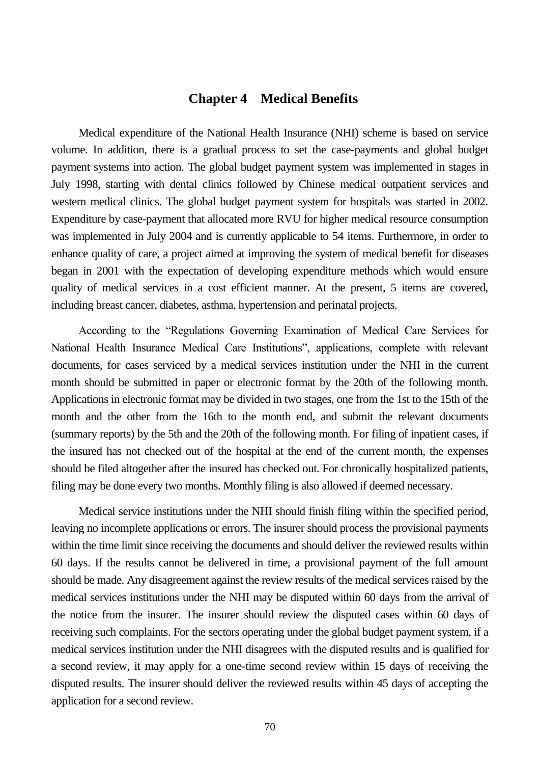### **Chapter 4 Medical Benefits**

Medical expenditure of the National Health Insurance (NHI) scheme is based on service volume. In addition, there is a gradual process to set the case-payments and global budget payment systems into action. The global budget payment system was implemented in stages in July 1998, starting with dental clinics followed by Chinese medical outpatient services and western medical clinics. The global budget payment system for hospitals was started in 2002. Expenditure by case-payment that allocated more RVU for higher medical resource consumption was implemented in July 2004 and is currently applicable to 54 items. Furthermore, in order to enhance quality of care, a project aimed at improving the system of medical benefit for diseases began in 2001 with the expectation of developing expenditure methods which would ensure quality of medical services in a cost efficient manner. At the present, 5 items are covered, including breast cancer, diabetes, asthma, hypertension and perinatal projects.

According to the "Regulations Governing Examination of Medical Care Services for National Health Insurance Medical Care Institutions", applications, complete with relevant documents, for cases serviced by a medical services institution under the NHI in the current month should be submitted in paper or electronic format by the 20th of the following month. Applications in electronic format may be divided in two stages, one from the 1st to the 15th of the month and the other from the 16th to the month end, and submit the relevant documents (summary reports) by the 5th and the 20th of the following month. For filing of inpatient cases, if the insured has not checked out of the hospital at the end of the current month, the expenses should be filed altogether after the insured has checked out. For chronically hospitalized patients, filing may be done every two months. Monthly filing is also allowed if deemed necessary.

Medical service institutions under the NHI should finish filing within the specified period, leaving no incomplete applications or errors. The insurer should process the provisional payments within the time limit since receiving the documents and should deliver the reviewed results within 60 days. If the results cannot be delivered in time, a provisional payment of the full amount should be made. Any disagreement against the review results of the medical services raised by the medical services institutions under the NHI may be disputed within 60 days from the arrival of the notice from the insurer. The insurer should review the disputed cases within 60 days of receiving such complaints. For the sectors operating under the global budget payment system, if a medical services institution under the NHI disagrees with the disputed results and is qualified for a second review, it may apply for a one-time second review within 15 days of receiving the disputed results. The insurer should deliver the reviewed results within 45 days of accepting the application for a second review.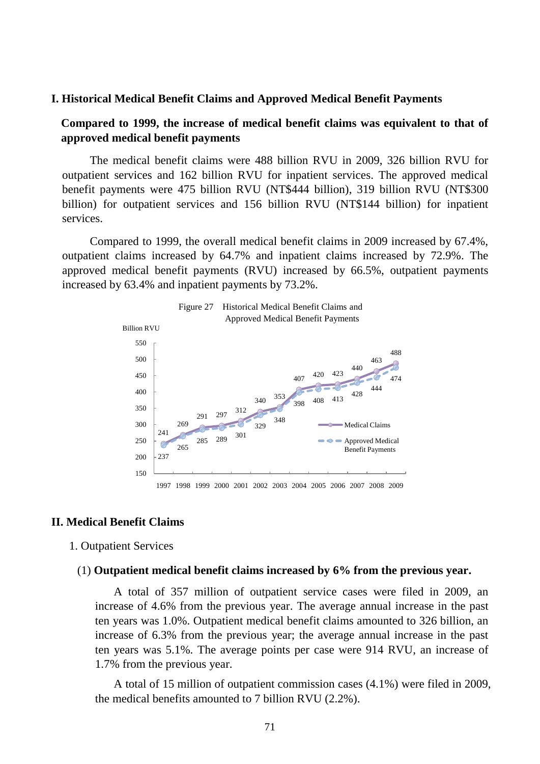#### **I. Historical Medical Benefit Claims and Approved Medical Benefit Payments**

### **Compared to 1999, the increase of medical benefit claims was equivalent to that of approved medical benefit payments**

The medical benefit claims were 488 billion RVU in 2009, 326 billion RVU for outpatient services and 162 billion RVU for inpatient services. The approved medical benefit payments were 475 billion RVU (NT\$444 billion), 319 billion RVU (NT\$300 billion) for outpatient services and 156 billion RVU (NT\$144 billion) for inpatient services.

Compared to 1999, the overall medical benefit claims in 2009 increased by 67.4%, outpatient claims increased by 64.7% and inpatient claims increased by 72.9%. The approved medical benefit payments (RVU) increased by 66.5%, outpatient payments increased by 63.4% and inpatient payments by 73.2%.



### **II. Medical Benefit Claims**

### 1. Outpatient Services

#### (1) **Outpatient medical benefit claims increased by 6% from the previous year.**

A total of 357 million of outpatient service cases were filed in 2009, an increase of 4.6% from the previous year. The average annual increase in the past ten years was 1.0%. Outpatient medical benefit claims amounted to 326 billion, an increase of 6.3% from the previous year; the average annual increase in the past ten years was 5.1%. The average points per case were 914 RVU, an increase of 1.7% from the previous year.

A total of 15 million of outpatient commission cases (4.1%) were filed in 2009, the medical benefits amounted to 7 billion RVU (2.2%).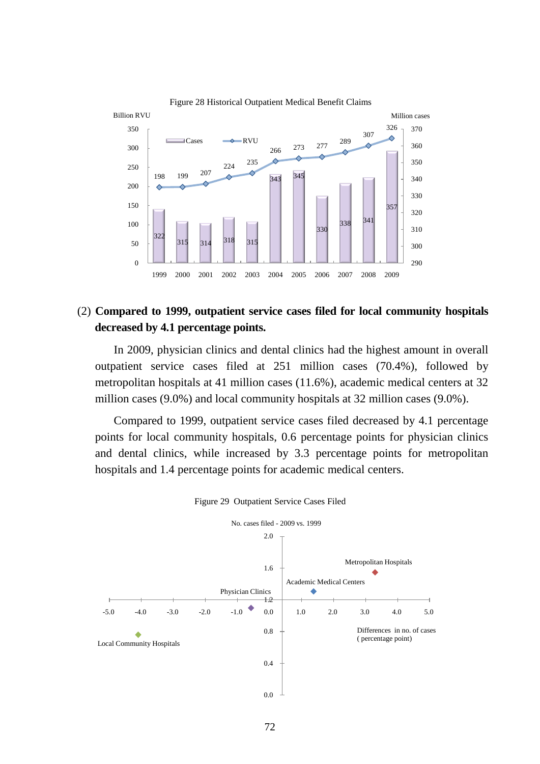

### (2) **Compared to 1999, outpatient service cases filed for local community hospitals decreased by 4.1 percentage points.**

In 2009, physician clinics and dental clinics had the highest amount in overall outpatient service cases filed at 251 million cases (70.4%), followed by metropolitan hospitals at 41 million cases (11.6%), academic medical centers at 32 million cases (9.0%) and local community hospitals at 32 million cases (9.0%).

Compared to 1999, outpatient service cases filed decreased by 4.1 percentage points for local community hospitals, 0.6 percentage points for physician clinics and dental clinics, while increased by 3.3 percentage points for metropolitan hospitals and 1.4 percentage points for academic medical centers.



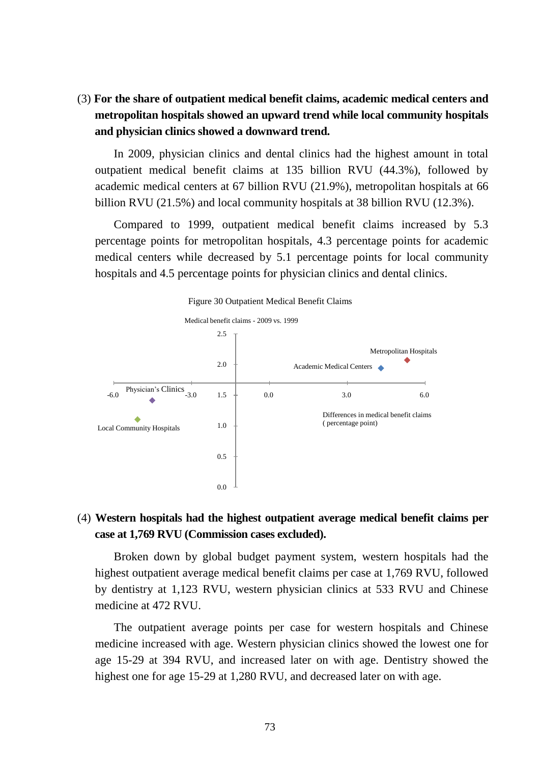(3) **For the share of outpatient medical benefit claims, academic medical centers and metropolitan hospitals showed an upward trend while local community hospitals and physician clinics showed a downward trend.**

In 2009, physician clinics and dental clinics had the highest amount in total outpatient medical benefit claims at 135 billion RVU (44.3%), followed by academic medical centers at 67 billion RVU (21.9%), metropolitan hospitals at 66 billion RVU (21.5%) and local community hospitals at 38 billion RVU (12.3%).

Compared to 1999, outpatient medical benefit claims increased by 5.3 percentage points for metropolitan hospitals, 4.3 percentage points for academic medical centers while decreased by 5.1 percentage points for local community hospitals and 4.5 percentage points for physician clinics and dental clinics.



### (4) **Western hospitals had the highest outpatient average medical benefit claims per case at 1,769 RVU (Commission cases excluded).**

Broken down by global budget payment system, western hospitals had the highest outpatient average medical benefit claims per case at 1,769 RVU, followed by dentistry at 1,123 RVU, western physician clinics at 533 RVU and Chinese medicine at 472 RVU.

The outpatient average points per case for western hospitals and Chinese medicine increased with age. Western physician clinics showed the lowest one for age 15-29 at 394 RVU, and increased later on with age. Dentistry showed the highest one for age 15-29 at 1,280 RVU, and decreased later on with age.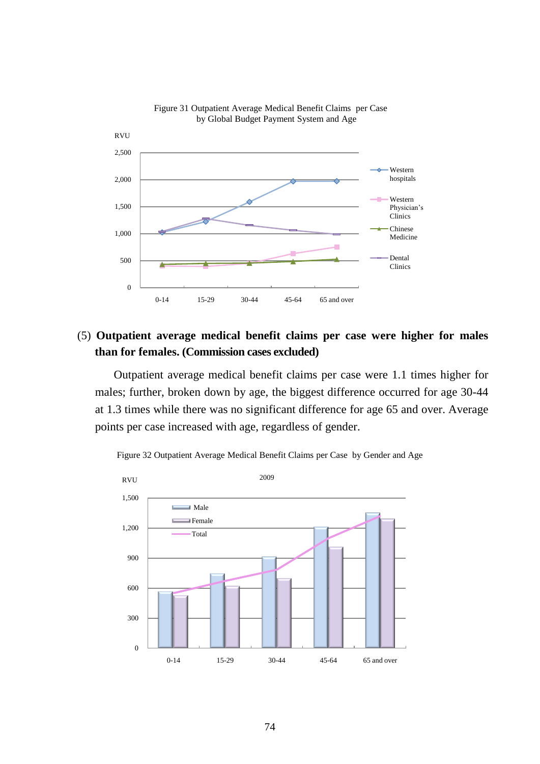

#### Figure 31 Outpatient Average Medical Benefit Claims per Case by Global Budget Payment System and Age

## (5) **Outpatient average medical benefit claims per case were higher for males than for females. (Commission cases excluded)**

Outpatient average medical benefit claims per case were 1.1 times higher for males; further, broken down by age, the biggest difference occurred for age 30-44 at 1.3 times while there was no significant difference for age 65 and over. Average points per case increased with age, regardless of gender.



Figure 32 Outpatient Average Medical Benefit Claims per Case by Gender and Age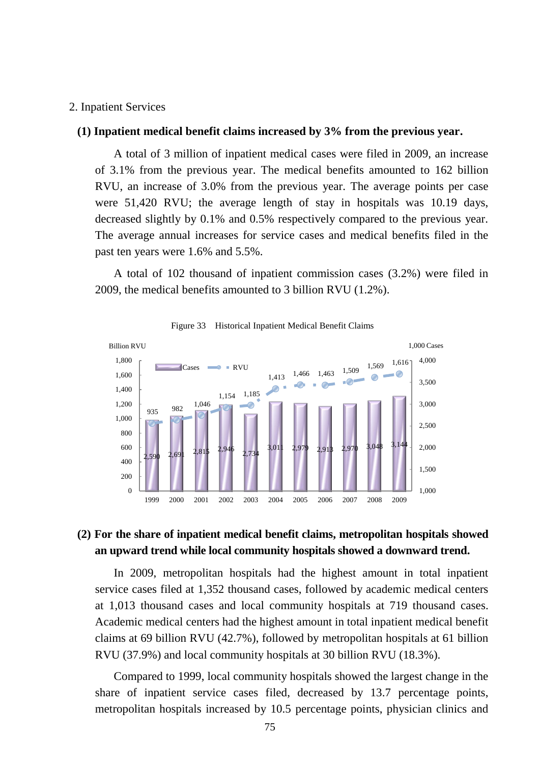#### 2. Inpatient Services

#### **(1) Inpatient medical benefit claims increased by 3% from the previous year.**

A total of 3 million of inpatient medical cases were filed in 2009, an increase of 3.1% from the previous year. The medical benefits amounted to 162 billion RVU, an increase of 3.0% from the previous year. The average points per case were 51,420 RVU; the average length of stay in hospitals was 10.19 days, decreased slightly by 0.1% and 0.5% respectively compared to the previous year. The average annual increases for service cases and medical benefits filed in the past ten years were 1.6% and 5.5%.

A total of 102 thousand of inpatient commission cases (3.2%) were filed in 2009, the medical benefits amounted to 3 billion RVU (1.2%).



Figure 33 Historical Inpatient Medical Benefit Claims

### **(2) For the share of inpatient medical benefit claims, metropolitan hospitals showed an upward trend while local community hospitals showed a downward trend.**

In 2009, metropolitan hospitals had the highest amount in total inpatient service cases filed at 1,352 thousand cases, followed by academic medical centers at 1,013 thousand cases and local community hospitals at 719 thousand cases. Academic medical centers had the highest amount in total inpatient medical benefit claims at 69 billion RVU (42.7%), followed by metropolitan hospitals at 61 billion RVU (37.9%) and local community hospitals at 30 billion RVU (18.3%).

Compared to 1999, local community hospitals showed the largest change in the share of inpatient service cases filed, decreased by 13.7 percentage points, metropolitan hospitals increased by 10.5 percentage points, physician clinics and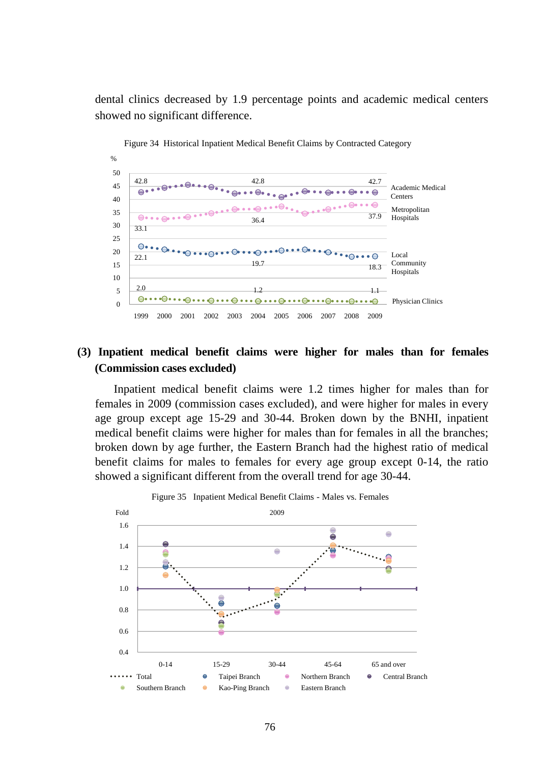dental clinics decreased by 1.9 percentage points and academic medical centers showed no significant difference.



Figure 34 Historical Inpatient Medical Benefit Claims by Contracted Category

## **(3) Inpatient medical benefit claims were higher for males than for females (Commission cases excluded)**

Inpatient medical benefit claims were 1.2 times higher for males than for females in 2009 (commission cases excluded), and were higher for males in every age group except age 15-29 and 30-44. Broken down by the BNHI, inpatient medical benefit claims were higher for males than for females in all the branches; broken down by age further, the Eastern Branch had the highest ratio of medical benefit claims for males to females for every age group except 0-14, the ratio showed a significant different from the overall trend for age 30-44.

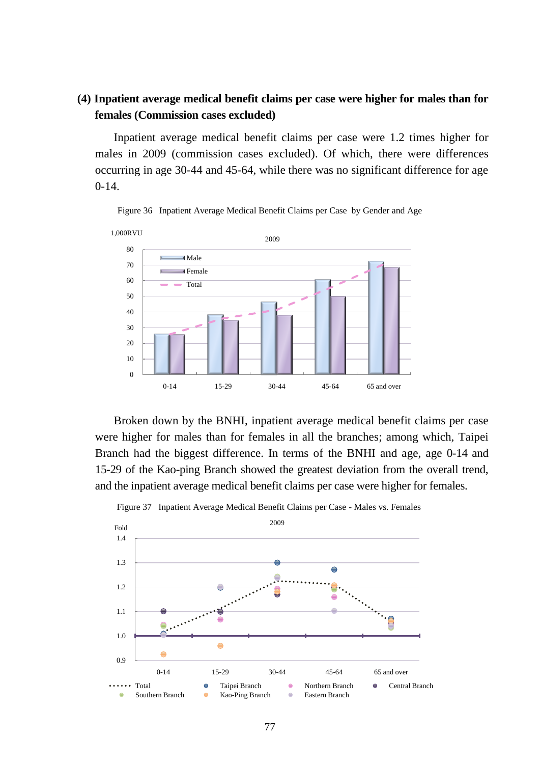## **(4) Inpatient average medical benefit claims per case were higher for males than for females (Commission cases excluded)**

Inpatient average medical benefit claims per case were 1.2 times higher for males in 2009 (commission cases excluded). Of which, there were differences occurring in age 30-44 and 45-64, while there was no significant difference for age  $0-14.$ 



Figure 36 Inpatient Average Medical Benefit Claims per Case by Gender and Age

Broken down by the BNHI, inpatient average medical benefit claims per case were higher for males than for females in all the branches; among which, Taipei Branch had the biggest difference. In terms of the BNHI and age, age 0-14 and 15-29 of the Kao-ping Branch showed the greatest deviation from the overall trend, and the inpatient average medical benefit claims per case were higher for females.



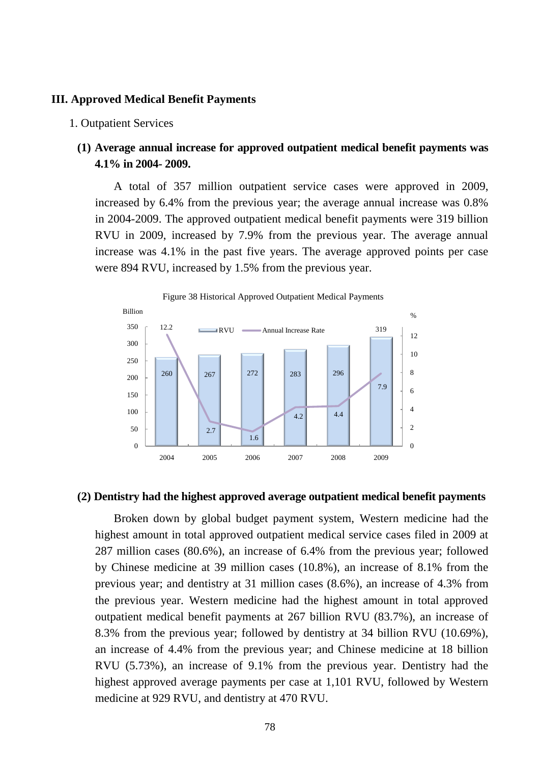#### **III. Approved Medical Benefit Payments**

#### 1. Outpatient Services

## **(1) Average annual increase for approved outpatient medical benefit payments was 4.1% in 2004- 2009.**

A total of 357 million outpatient service cases were approved in 2009, increased by 6.4% from the previous year; the average annual increase was 0.8% in 2004-2009. The approved outpatient medical benefit payments were 319 billion RVU in 2009, increased by 7.9% from the previous year. The average annual increase was 4.1% in the past five years. The average approved points per case were 894 RVU, increased by 1.5% from the previous year.



### **(2) Dentistry had the highest approved average outpatient medical benefit payments**

Broken down by global budget payment system, Western medicine had the highest amount in total approved outpatient medical service cases filed in 2009 at 287 million cases (80.6%), an increase of 6.4% from the previous year; followed by Chinese medicine at 39 million cases (10.8%), an increase of 8.1% from the previous year; and dentistry at 31 million cases (8.6%), an increase of 4.3% from the previous year. Western medicine had the highest amount in total approved outpatient medical benefit payments at 267 billion RVU (83.7%), an increase of 8.3% from the previous year; followed by dentistry at 34 billion RVU (10.69%), an increase of 4.4% from the previous year; and Chinese medicine at 18 billion RVU (5.73%), an increase of 9.1% from the previous year. Dentistry had the highest approved average payments per case at 1,101 RVU, followed by Western medicine at 929 RVU, and dentistry at 470 RVU.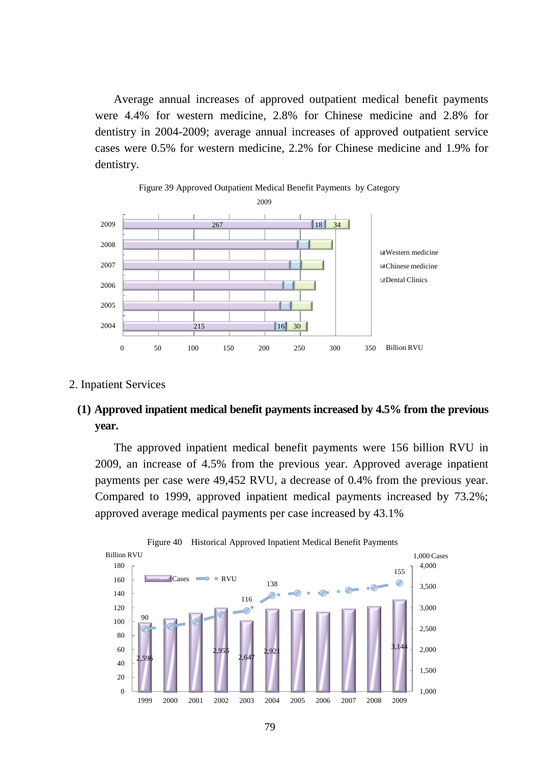Average annual increases of approved outpatient medical benefit payments were 4.4% for western medicine, 2.8% for Chinese medicine and 2.8% for dentistry in 2004-2009; average annual increases of approved outpatient service cases were 0.5% for western medicine, 2.2% for Chinese medicine and 1.9% for dentistry.



#### 2. Inpatient Services

### **(1) Approved inpatient medical benefit payments increased by 4.5% from the previous year.**

The approved inpatient medical benefit payments were 156 billion RVU in 2009, an increase of 4.5% from the previous year. Approved average inpatient payments per case were 49,452 RVU, a decrease of 0.4% from the previous year. Compared to 1999, approved inpatient medical payments increased by 73.2%; approved average medical payments per case increased by 43.1%

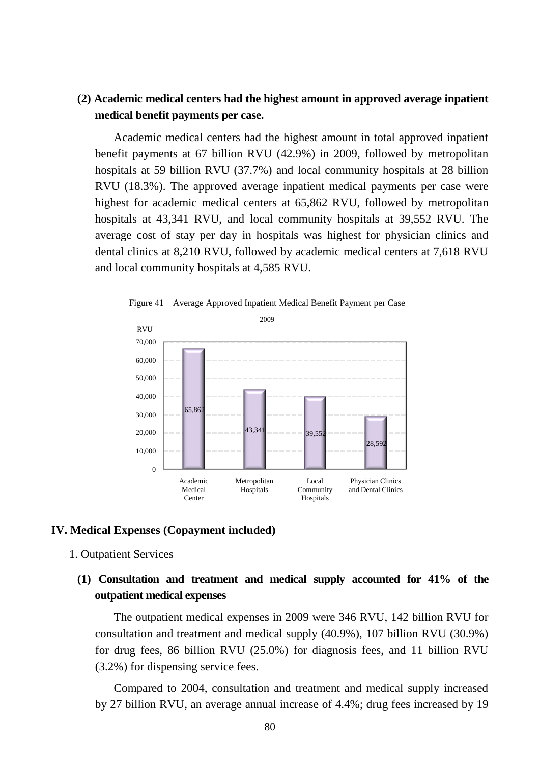### **(2) Academic medical centers had the highest amount in approved average inpatient medical benefit payments per case.**

Academic medical centers had the highest amount in total approved inpatient benefit payments at 67 billion RVU (42.9%) in 2009, followed by metropolitan hospitals at 59 billion RVU (37.7%) and local community hospitals at 28 billion RVU (18.3%). The approved average inpatient medical payments per case were highest for academic medical centers at 65,862 RVU, followed by metropolitan hospitals at 43,341 RVU, and local community hospitals at 39,552 RVU. The average cost of stay per day in hospitals was highest for physician clinics and dental clinics at 8,210 RVU, followed by academic medical centers at 7,618 RVU and local community hospitals at 4,585 RVU.



Figure 41 Average Approved Inpatient Medical Benefit Payment per Case

### **IV. Medical Expenses (Copayment included)**

### 1. Outpatient Services

# **(1) Consultation and treatment and medical supply accounted for 41% of the outpatient medical expenses**

The outpatient medical expenses in 2009 were 346 RVU, 142 billion RVU for consultation and treatment and medical supply (40.9%), 107 billion RVU (30.9%) for drug fees, 86 billion RVU (25.0%) for diagnosis fees, and 11 billion RVU (3.2%) for dispensing service fees.

Compared to 2004, consultation and treatment and medical supply increased by 27 billion RVU, an average annual increase of 4.4%; drug fees increased by 19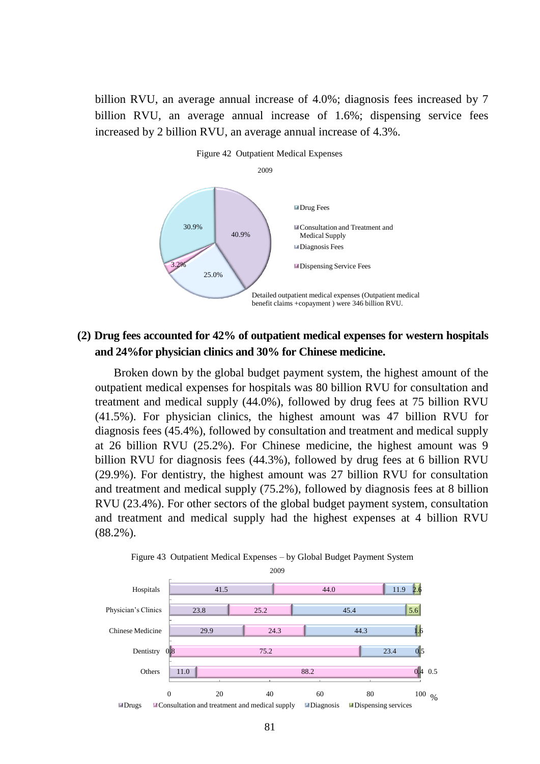billion RVU, an average annual increase of 4.0%; diagnosis fees increased by 7 billion RVU, an average annual increase of 1.6%; dispensing service fees increased by 2 billion RVU, an average annual increase of 4.3%.



### **(2) Drug fees accounted for 42% of outpatient medical expenses for western hospitals and 24%for physician clinics and 30% for Chinese medicine.**

Broken down by the global budget payment system, the highest amount of the outpatient medical expenses for hospitals was 80 billion RVU for consultation and treatment and medical supply (44.0%), followed by drug fees at 75 billion RVU (41.5%). For physician clinics, the highest amount was 47 billion RVU for diagnosis fees (45.4%), followed by consultation and treatment and medical supply at 26 billion RVU (25.2%). For Chinese medicine, the highest amount was 9 billion RVU for diagnosis fees (44.3%), followed by drug fees at 6 billion RVU (29.9%). For dentistry, the highest amount was 27 billion RVU for consultation and treatment and medical supply (75.2%), followed by diagnosis fees at 8 billion RVU (23.4%). For other sectors of the global budget payment system, consultation and treatment and medical supply had the highest expenses at 4 billion RVU (88.2%).



Figure 43 Outpatient Medical Expenses – by Global Budget Payment System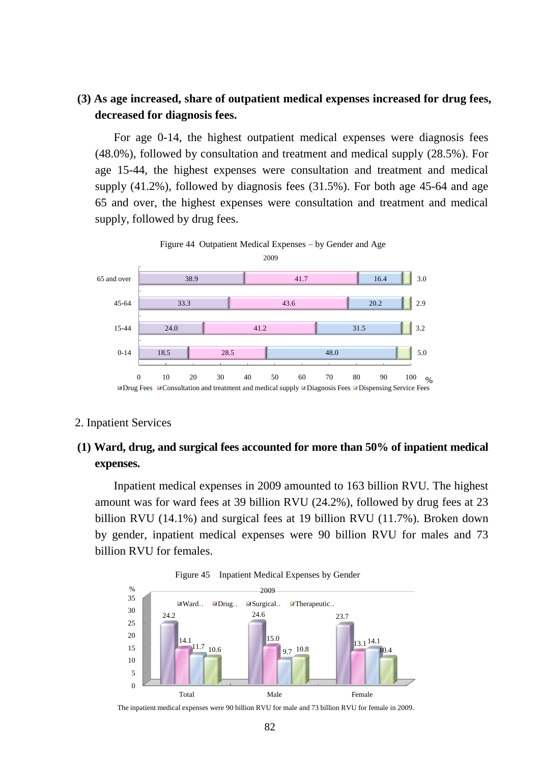## **(3) As age increased, share of outpatient medical expenses increased for drug fees, decreased for diagnosis fees.**

For age 0-14, the highest outpatient medical expenses were diagnosis fees (48.0%), followed by consultation and treatment and medical supply (28.5%). For age 15-44, the highest expenses were consultation and treatment and medical supply (41.2%), followed by diagnosis fees (31.5%). For both age 45-64 and age 65 and over, the highest expenses were consultation and treatment and medical supply, followed by drug fees.



#### 2. Inpatient Services

# **(1) Ward, drug, and surgical fees accounted for more than 50% of inpatient medical expenses.**

Inpatient medical expenses in 2009 amounted to 163 billion RVU. The highest amount was for ward fees at 39 billion RVU (24.2%), followed by drug fees at 23 billion RVU (14.1%) and surgical fees at 19 billion RVU (11.7%). Broken down by gender, inpatient medical expenses were 90 billion RVU for males and 73 billion RVU for females.



The inpatient medical expenses were 90 billion RVU for male and 73 billion RVU for female in 2009.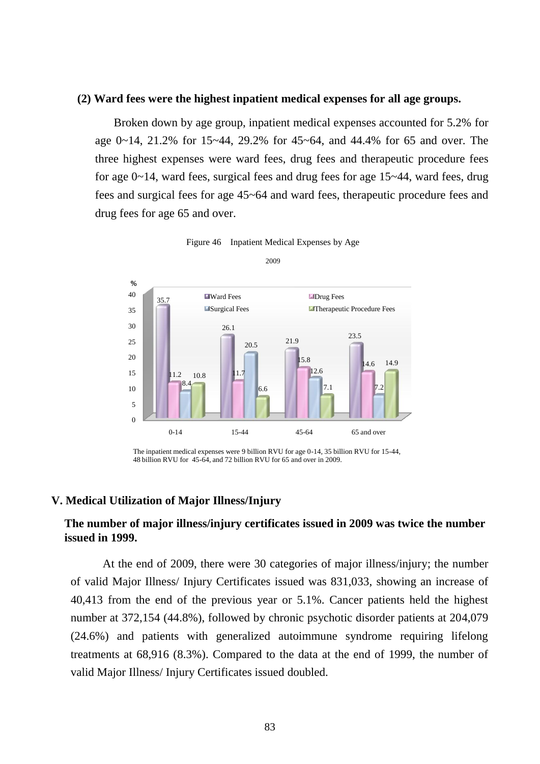### **(2) Ward fees were the highest inpatient medical expenses for all age groups.**

Broken down by age group, inpatient medical expenses accounted for 5.2% for age 0~14, 21.2% for 15~44, 29.2% for 45~64, and 44.4% for 65 and over. The three highest expenses were ward fees, drug fees and therapeutic procedure fees for age 0~14, ward fees, surgical fees and drug fees for age 15~44, ward fees, drug fees and surgical fees for age 45~64 and ward fees, therapeutic procedure fees and drug fees for age 65 and over.





#### **V. Medical Utilization of Major Illness/Injury**

### **The number of major illness/injury certificates issued in 2009 was twice the number issued in 1999.**

At the end of 2009, there were 30 categories of major illness/injury; the number of valid Major Illness/ Injury Certificates issued was 831,033, showing an increase of 40,413 from the end of the previous year or 5.1%. Cancer patients held the highest number at 372,154 (44.8%), followed by chronic psychotic disorder patients at 204,079 (24.6%) and patients with generalized autoimmune syndrome requiring lifelong treatments at 68,916 (8.3%). Compared to the data at the end of 1999, the number of valid Major Illness/ Injury Certificates issued doubled.

The inpatient medical expenses were 9 billion RVU for age 0-14, 35 billion RVU for 15-44, 48 billion RVU for 45-64, and 72 billion RVU for 65 and over in 2009.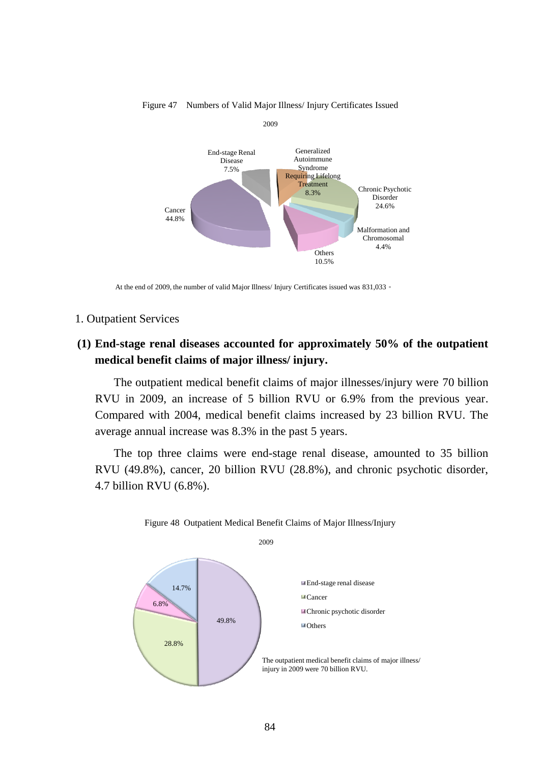

Figure 47 Numbers of Valid Major Illness/ Injury Certificates Issued

At the end of 2009, the number of valid Major Illness/ Injury Certificates issued was 831,033。

#### 1. Outpatient Services

## **(1) End-stage renal diseases accounted for approximately 50% of the outpatient medical benefit claims of major illness/ injury.**

The outpatient medical benefit claims of major illnesses/injury were 70 billion RVU in 2009, an increase of 5 billion RVU or 6.9% from the previous year. Compared with 2004, medical benefit claims increased by 23 billion RVU. The average annual increase was 8.3% in the past 5 years.

The top three claims were end-stage renal disease, amounted to 35 billion RVU (49.8%), cancer, 20 billion RVU (28.8%), and chronic psychotic disorder, 4.7 billion RVU (6.8%).



Figure 48 Outpatient Medical Benefit Claims of Major Illness/Injury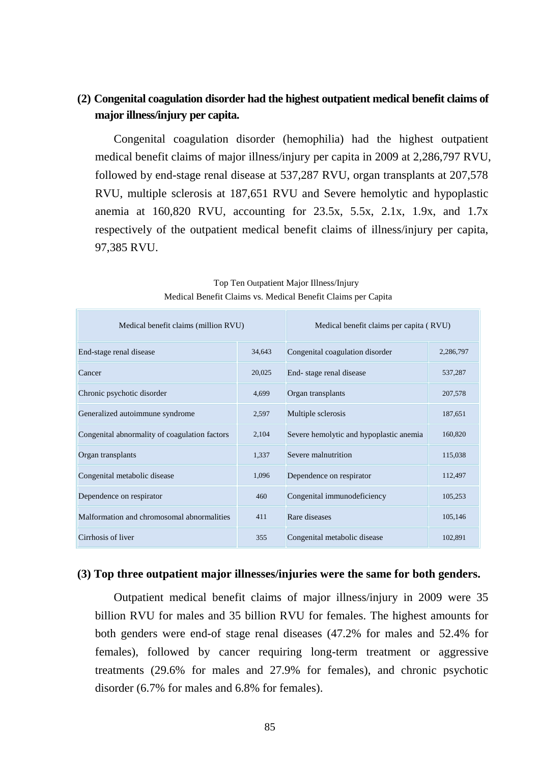# **(2) Congenital coagulation disorder had the highest outpatient medical benefit claims of major illness/injury per capita.**

Congenital coagulation disorder (hemophilia) had the highest outpatient medical benefit claims of major illness/injury per capita in 2009 at 2,286,797 RVU, followed by end-stage renal disease at 537,287 RVU, organ transplants at 207,578 RVU, multiple sclerosis at 187,651 RVU and Severe hemolytic and hypoplastic anemia at 160,820 RVU, accounting for 23.5x, 5.5x, 2.1x, 1.9x, and 1.7x respectively of the outpatient medical benefit claims of illness/injury per capita, 97,385 RVU.

| Medical benefit claims (million RVU)          |        | Medical benefit claims per capita (RVU) |           |
|-----------------------------------------------|--------|-----------------------------------------|-----------|
| End-stage renal disease                       | 34,643 | Congenital coagulation disorder         | 2,286,797 |
| Cancer                                        | 20,025 | End-stage renal disease                 | 537,287   |
| Chronic psychotic disorder                    | 4,699  | Organ transplants                       | 207,578   |
| Generalized autoimmune syndrome               | 2,597  | Multiple sclerosis                      | 187,651   |
| Congenital abnormality of coagulation factors | 2,104  | Severe hemolytic and hypoplastic anemia | 160,820   |
| Organ transplants                             | 1,337  | Severe malnutrition                     | 115,038   |
| Congenital metabolic disease                  | 1,096  | Dependence on respirator                | 112,497   |
| Dependence on respirator                      | 460    | Congenital immunodeficiency             | 105,253   |
| Malformation and chromosomal abnormalities    | 411    | Rare diseases                           | 105,146   |
| Cirrhosis of liver                            | 355    | Congenital metabolic disease            | 102,891   |

 Top Ten Outpatient Major Illness/Injury Medical Benefit Claims vs. Medical Benefit Claims per Capita

### **(3) Top three outpatient major illnesses/injuries were the same for both genders.**

Outpatient medical benefit claims of major illness/injury in 2009 were 35 billion RVU for males and 35 billion RVU for females. The highest amounts for both genders were end-of stage renal diseases (47.2% for males and 52.4% for females), followed by cancer requiring long-term treatment or aggressive treatments (29.6% for males and 27.9% for females), and chronic psychotic disorder (6.7% for males and 6.8% for females).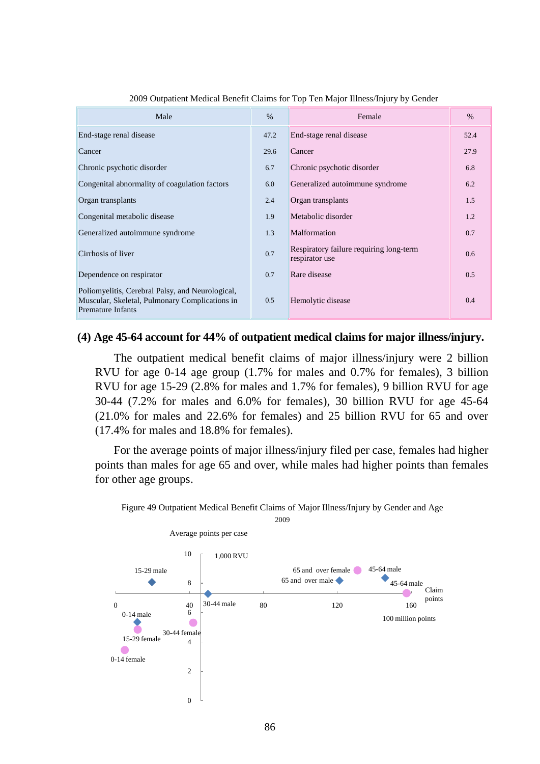| Male                                                                                                                           | $\%$ | Female                                                    | $\%$ |
|--------------------------------------------------------------------------------------------------------------------------------|------|-----------------------------------------------------------|------|
| End-stage renal disease                                                                                                        | 47.2 | End-stage renal disease                                   | 52.4 |
| Cancer                                                                                                                         | 29.6 | Cancer                                                    | 27.9 |
| Chronic psychotic disorder                                                                                                     | 6.7  | Chronic psychotic disorder                                | 6.8  |
| Congenital abnormality of coagulation factors                                                                                  | 6.0  | Generalized autoimmune syndrome                           | 6.2  |
| Organ transplants                                                                                                              | 2.4  | Organ transplants                                         | 1.5  |
| Congenital metabolic disease                                                                                                   | 1.9  | Metabolic disorder                                        | 1.2  |
| Generalized autoimmune syndrome                                                                                                | 1.3  | Malformation                                              | 0.7  |
| Cirrhosis of liver                                                                                                             | 0.7  | Respiratory failure requiring long-term<br>respirator use | 0.6  |
| Dependence on respirator                                                                                                       | 0.7  | Rare disease                                              | 0.5  |
| Poliomyelitis, Cerebral Palsy, and Neurological,<br>Muscular, Skeletal, Pulmonary Complications in<br><b>Premature Infants</b> | 0.5  | Hemolytic disease                                         | 0.4  |

2009 Outpatient Medical Benefit Claims for Top Ten Major Illness/Injury by Gender

### **(4) Age 45-64 account for 44% of outpatient medical claims for major illness/injury.**

The outpatient medical benefit claims of major illness/injury were 2 billion RVU for age 0-14 age group (1.7% for males and 0.7% for females), 3 billion RVU for age 15-29 (2.8% for males and 1.7% for females), 9 billion RVU for age 30-44 (7.2% for males and 6.0% for females), 30 billion RVU for age 45-64 (21.0% for males and 22.6% for females) and 25 billion RVU for 65 and over (17.4% for males and 18.8% for females).

For the average points of major illness/injury filed per case, females had higher points than males for age 65 and over, while males had higher points than females for other age groups.



Figure 49 Outpatient Medical Benefit Claims of Major Illness/Injury by Gender and Age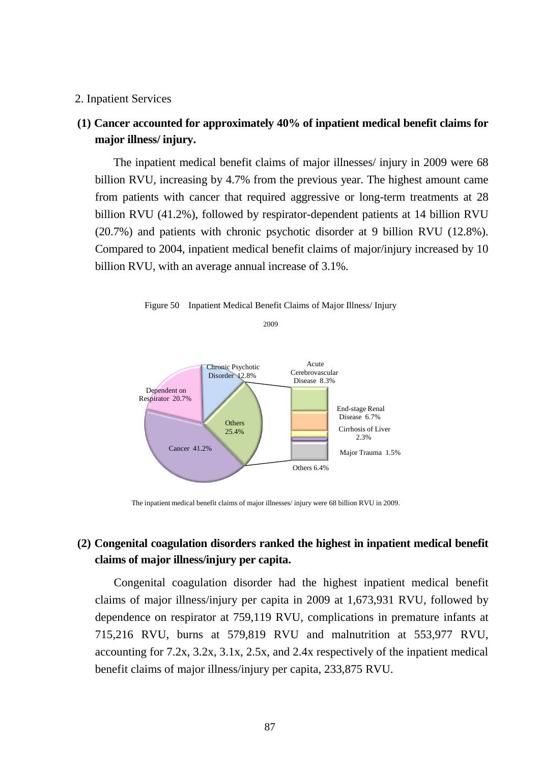### 2. Inpatient Services

## **(1) Cancer accounted for approximately 40% of inpatient medical benefit claims for major illness/ injury.**

The inpatient medical benefit claims of major illnesses/ injury in 2009 were 68 billion RVU, increasing by 4.7% from the previous year. The highest amount came from patients with cancer that required aggressive or long-term treatments at 28 billion RVU (41.2%), followed by respirator-dependent patients at 14 billion RVU (20.7%) and patients with chronic psychotic disorder at 9 billion RVU (12.8%). Compared to 2004, inpatient medical benefit claims of major/injury increased by 10 billion RVU, with an average annual increase of 3.1%.



Figure 50 Inpatient Medical Benefit Claims of Major Illness/ Injury

The inpatient medical benefit claims of major illnesses/ injury were 68 billion RVU in 2009.

# **(2) Congenital coagulation disorders ranked the highest in inpatient medical benefit claims of major illness/injury per capita.**

Congenital coagulation disorder had the highest inpatient medical benefit claims of major illness/injury per capita in 2009 at 1,673,931 RVU, followed by dependence on respirator at 759,119 RVU, complications in premature infants at 715,216 RVU, burns at 579,819 RVU and malnutrition at 553,977 RVU, accounting for 7.2x, 3.2x, 3.1x, 2.5x, and 2.4x respectively of the inpatient medical benefit claims of major illness/injury per capita, 233,875 RVU.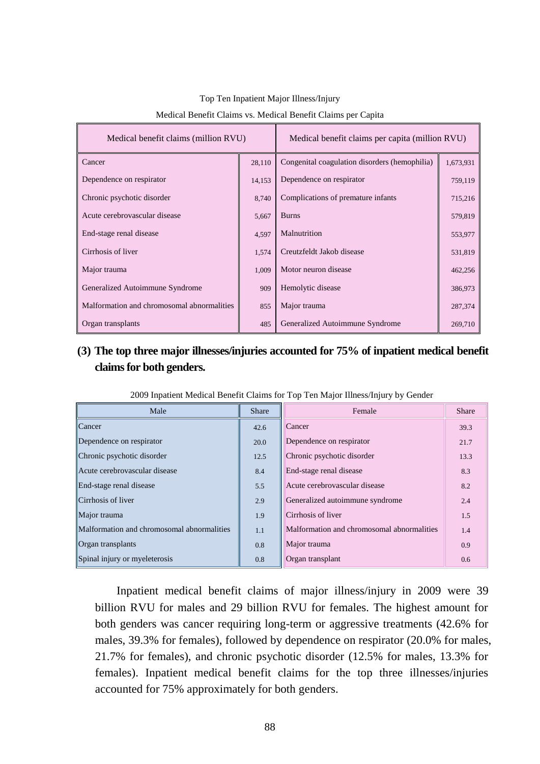| Medical benefit claims (million RVU)       |        | Medical benefit claims per capita (million RVU) |           |
|--------------------------------------------|--------|-------------------------------------------------|-----------|
| Cancer                                     | 28,110 | Congenital coagulation disorders (hemophilia)   | 1,673,931 |
| Dependence on respirator                   | 14,153 | Dependence on respirator                        | 759,119   |
| Chronic psychotic disorder                 | 8,740  | Complications of premature infants              | 715,216   |
| Acute cerebrovascular disease              | 5,667  | <b>Burns</b>                                    | 579,819   |
| End-stage renal disease                    | 4,597  | Malnutrition                                    | 553,977   |
| Cirrhosis of liver                         | 1,574  | Creutzfeldt Jakob disease                       | 531,819   |
| Major trauma                               | 1,009  | Motor neuron disease                            | 462,256   |
| Generalized Autoimmune Syndrome            | 909    | Hemolytic disease                               | 386,973   |
| Malformation and chromosomal abnormalities | 855    | Major trauma                                    | 287,374   |
| Organ transplants                          | 485    | Generalized Autoimmune Syndrome                 | 269,710   |

### Top Ten Inpatient Major Illness/Injury

#### Medical Benefit Claims vs. Medical Benefit Claims per Capita

# **(3) The top three major illnesses/injuries accounted for 75% of inpatient medical benefit claims for both genders.**

| Male                                       | <b>Share</b> | Female                                     | <b>Share</b> |
|--------------------------------------------|--------------|--------------------------------------------|--------------|
| Cancer                                     | 42.6         | Cancer                                     | 39.3         |
| Dependence on respirator                   | 20.0         | Dependence on respirator                   | 21.7         |
| Chronic psychotic disorder                 | 12.5         | Chronic psychotic disorder                 | 13.3         |
| Acute cerebrovascular disease              | 8.4          | End-stage renal disease                    | 8.3          |
| End-stage renal disease                    | 5.5          | Acute cerebrovascular disease              | 8.2          |
| Cirrhosis of liver                         | 2.9          | Generalized autoimmune syndrome            | 2.4          |
| Major trauma                               | 1.9          | Cirrhosis of liver                         | 1.5          |
| Malformation and chromosomal abnormalities | 1.1          | Malformation and chromosomal abnormalities | 1.4          |
| <b>Organ</b> transplants                   | 0.8          | Major trauma                               | 0.9          |
| Spinal injury or myeleterosis              | 0.8          | Organ transplant                           | 0.6          |

2009 Inpatient Medical Benefit Claims for Top Ten Major Illness/Injury by Gender

Inpatient medical benefit claims of major illness/injury in 2009 were 39 billion RVU for males and 29 billion RVU for females. The highest amount for both genders was cancer requiring long-term or aggressive treatments (42.6% for males, 39.3% for females), followed by dependence on respirator (20.0% for males, 21.7% for females), and chronic psychotic disorder (12.5% for males, 13.3% for females). Inpatient medical benefit claims for the top three illnesses/injuries accounted for 75% approximately for both genders.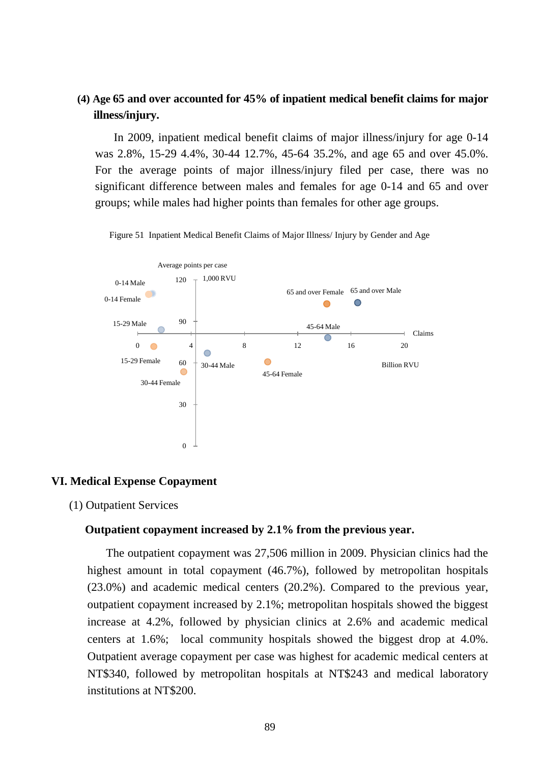## **(4) Age 65 and over accounted for 45% of inpatient medical benefit claims for major illness/injury.**

In 2009, inpatient medical benefit claims of major illness/injury for age 0-14 was 2.8%, 15-29 4.4%, 30-44 12.7%, 45-64 35.2%, and age 65 and over 45.0%. For the average points of major illness/injury filed per case, there was no significant difference between males and females for age 0-14 and 65 and over groups; while males had higher points than females for other age groups.



Figure 51 Inpatient Medical Benefit Claims of Major Illness/ Injury by Gender and Age

### **VI. Medical Expense Copayment**

(1) Outpatient Services

### **Outpatient copayment increased by 2.1% from the previous year.**

The outpatient copayment was 27,506 million in 2009. Physician clinics had the highest amount in total copayment (46.7%), followed by metropolitan hospitals (23.0%) and academic medical centers (20.2%). Compared to the previous year, outpatient copayment increased by 2.1%; metropolitan hospitals showed the biggest increase at 4.2%, followed by physician clinics at 2.6% and academic medical centers at 1.6%; local community hospitals showed the biggest drop at 4.0%. Outpatient average copayment per case was highest for academic medical centers at NT\$340, followed by metropolitan hospitals at NT\$243 and medical laboratory institutions at NT\$200.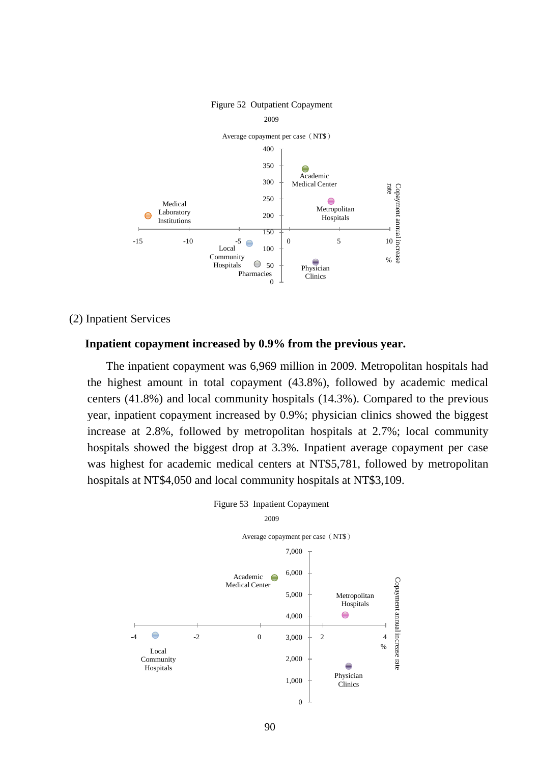

#### Figure 52 Outpatient Copayment

#### (2) Inpatient Services

#### **Inpatient copayment increased by 0.9% from the previous year.**

The inpatient copayment was 6,969 million in 2009. Metropolitan hospitals had the highest amount in total copayment (43.8%), followed by academic medical centers (41.8%) and local community hospitals (14.3%). Compared to the previous year, inpatient copayment increased by 0.9%; physician clinics showed the biggest increase at 2.8%, followed by metropolitan hospitals at 2.7%; local community hospitals showed the biggest drop at 3.3%. Inpatient average copayment per case was highest for academic medical centers at NT\$5,781, followed by metropolitan hospitals at NT\$4,050 and local community hospitals at NT\$3,109.

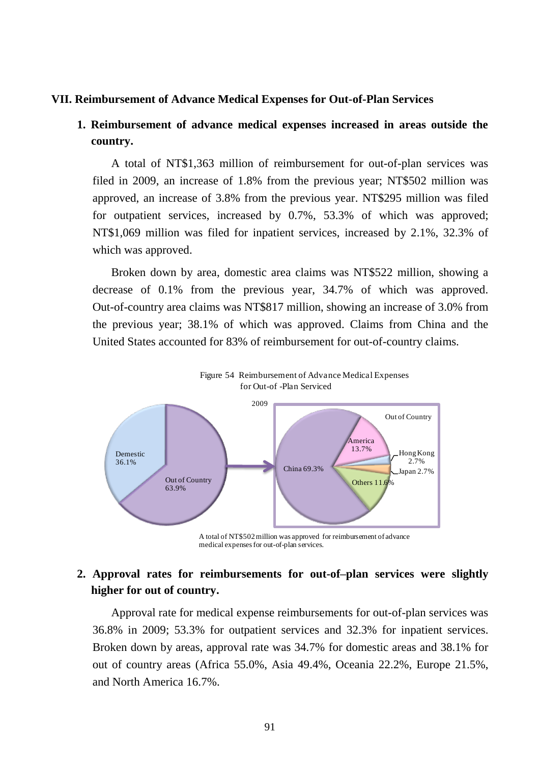#### **VII. Reimbursement of Advance Medical Expenses for Out-of-Plan Services**

## **1. Reimbursement of advance medical expenses increased in areas outside the country.**

A total of NT\$1,363 million of reimbursement for out-of-plan services was filed in 2009, an increase of 1.8% from the previous year; NT\$502 million was approved, an increase of 3.8% from the previous year. NT\$295 million was filed for outpatient services, increased by 0.7%, 53.3% of which was approved; NT\$1,069 million was filed for inpatient services, increased by 2.1%, 32.3% of which was approved.

Broken down by area, domestic area claims was NT\$522 million, showing a decrease of 0.1% from the previous year, 34.7% of which was approved. Out-of-country area claims was NT\$817 million, showing an increase of 3.0% from the previous year; 38.1% of which was approved. Claims from China and the United States accounted for 83% of reimbursement for out-of-country claims.



A total of NT\$502 million was approved for reimbursement of advance medical expenses for out-of-plan services.

## **2. Approval rates for reimbursements for out-of–plan services were slightly higher for out of country.**

Approval rate for medical expense reimbursements for out-of-plan services was 36.8% in 2009; 53.3% for outpatient services and 32.3% for inpatient services. Broken down by areas, approval rate was 34.7% for domestic areas and 38.1% for out of country areas (Africa 55.0%, Asia 49.4%, Oceania 22.2%, Europe 21.5%, and North America 16.7%.